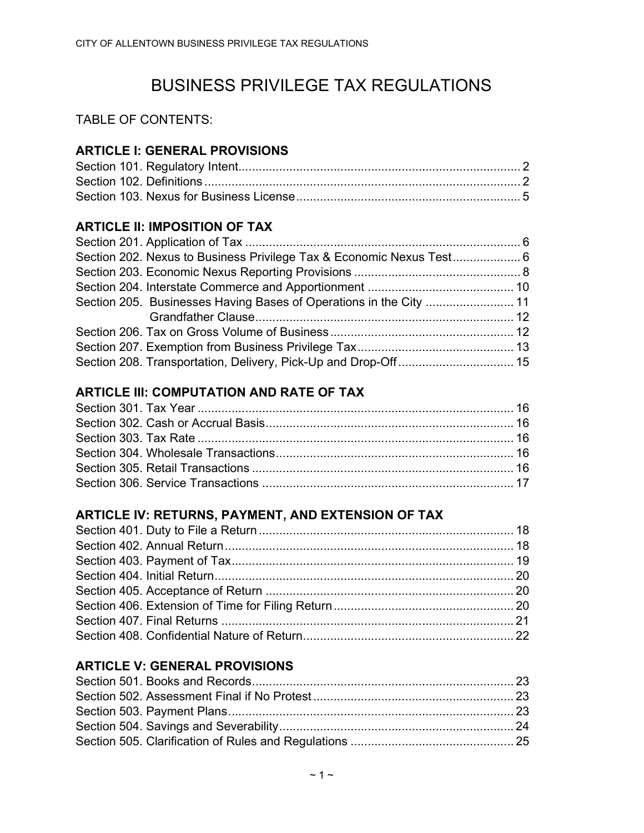# BUSINESS PRIVILEGE TAX REGULATIONS

TABLE OF CONTENTS:

# ARTICLE I: GENERAL PROVISIONS

# ARTICLE II: IMPOSITION OF TAX

# ARTICLE III: COMPUTATION AND RATE OF TAX

# ARTICLE IV: RETURNS, PAYMENT, AND EXTENSION OF TAX

# ARTICLE V: GENERAL PROVISIONS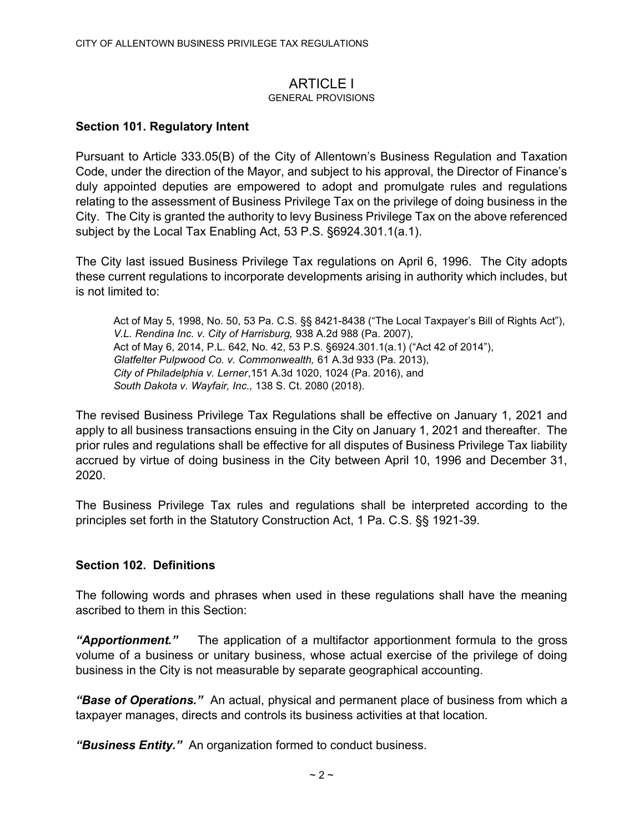# **ARTICLE I**

#### GENERAL PROVISIONS

### Section 101. Regulatory Intent

Pursuant to Article 333.05(B) of the City of Allentown's Business Regulation and Taxation Code, under the direction of the Mayor, and subject to his approval, the Director of Finance's duly appointed deputies are empowered to adopt and promulgate rules and regulations relating to the assessment of Business Privilege Tax on the privilege of doing business in the City. The City is granted the authority to levy Business Privilege Tax on the above referenced subject by the Local Tax Enabling Act, 53 P.S. §6924.301.1(a.1).

The City last issued Business Privilege Tax regulations on April 6, 1996. The City adopts these current regulations to incorporate developments arising in authority which includes, but is not limited to:

Act of May 5, 1998, No. 50, 53 Pa. C.S. §§ 8421-8438 ("The Local Taxpayer's Bill of Rights Act"), V.L. Rendina Inc. v. City of Harrisburg, 938 A.2d 988 (Pa. 2007), Act of May 6, 2014, P.L. 642, No. 42, 53 P.S. §6924.301.1(a.1) ("Act 42 of 2014"), Glatfelter Pulpwood Co. v. Commonwealth, 61 A.3d 933 (Pa. 2013), City of Philadelphia v. Lerner,151 A.3d 1020, 1024 (Pa. 2016), and South Dakota v. Wayfair, Inc., 138 S. Ct. 2080 (2018).

The revised Business Privilege Tax Regulations shall be effective on January 1, 2021 and apply to all business transactions ensuing in the City on January 1, 2021 and thereafter. The prior rules and regulations shall be effective for all disputes of Business Privilege Tax liability accrued by virtue of doing business in the City between April 10, 1996 and December 31, 2020.

The Business Privilege Tax rules and regulations shall be interpreted according to the principles set forth in the Statutory Construction Act, 1 Pa. C.S. §§ 1921-39.

#### Section 102. Definitions

The following words and phrases when used in these regulations shall have the meaning ascribed to them in this Section:

"Apportionment." The application of a multifactor apportionment formula to the gross volume of a business or unitary business, whose actual exercise of the privilege of doing business in the City is not measurable by separate geographical accounting.

"Base of Operations." An actual, physical and permanent place of business from which a taxpayer manages, directs and controls its business activities at that location.

"Business Entity." An organization formed to conduct business.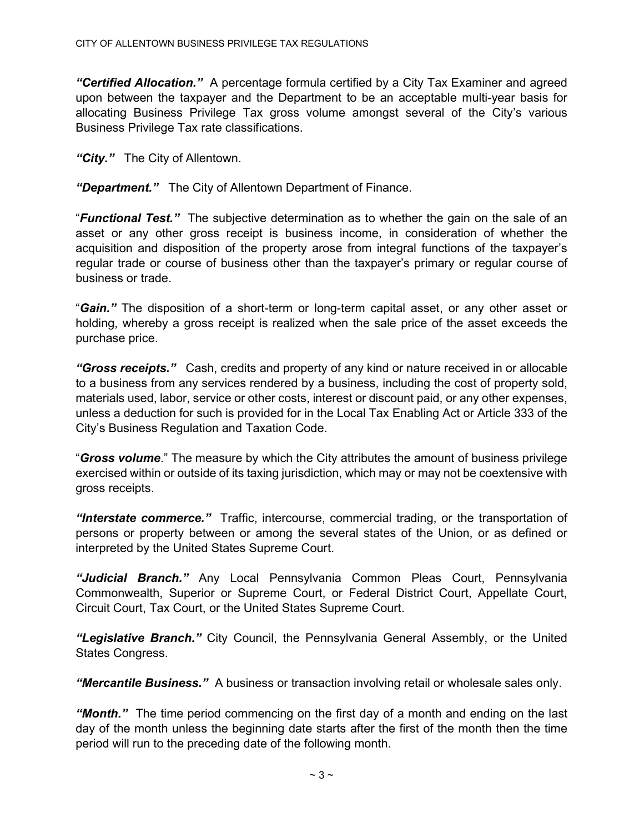"Certified Allocation." A percentage formula certified by a City Tax Examiner and agreed upon between the taxpayer and the Department to be an acceptable multi-year basis for allocating Business Privilege Tax gross volume amongst several of the City's various Business Privilege Tax rate classifications.

"City." The City of Allentown.

"Department." The City of Allentown Department of Finance.

"**Functional Test.**" The subjective determination as to whether the gain on the sale of an asset or any other gross receipt is business income, in consideration of whether the acquisition and disposition of the property arose from integral functions of the taxpayer's regular trade or course of business other than the taxpayer's primary or regular course of business or trade.

"Gain." The disposition of a short-term or long-term capital asset, or any other asset or holding, whereby a gross receipt is realized when the sale price of the asset exceeds the purchase price.

"Gross receipts." Cash, credits and property of any kind or nature received in or allocable to a business from any services rendered by a business, including the cost of property sold, materials used, labor, service or other costs, interest or discount paid, or any other expenses, unless a deduction for such is provided for in the Local Tax Enabling Act or Article 333 of the City's Business Regulation and Taxation Code.

"Gross volume." The measure by which the City attributes the amount of business privilege exercised within or outside of its taxing jurisdiction, which may or may not be coextensive with gross receipts.

"Interstate commerce." Traffic, intercourse, commercial trading, or the transportation of persons or property between or among the several states of the Union, or as defined or interpreted by the United States Supreme Court.

"Judicial Branch." Any Local Pennsylvania Common Pleas Court, Pennsylvania Commonwealth, Superior or Supreme Court, or Federal District Court, Appellate Court, Circuit Court, Tax Court, or the United States Supreme Court.

"Legislative Branch." City Council, the Pennsylvania General Assembly, or the United States Congress.

"Mercantile Business." A business or transaction involving retail or wholesale sales only.

"Month." The time period commencing on the first day of a month and ending on the last day of the month unless the beginning date starts after the first of the month then the time period will run to the preceding date of the following month.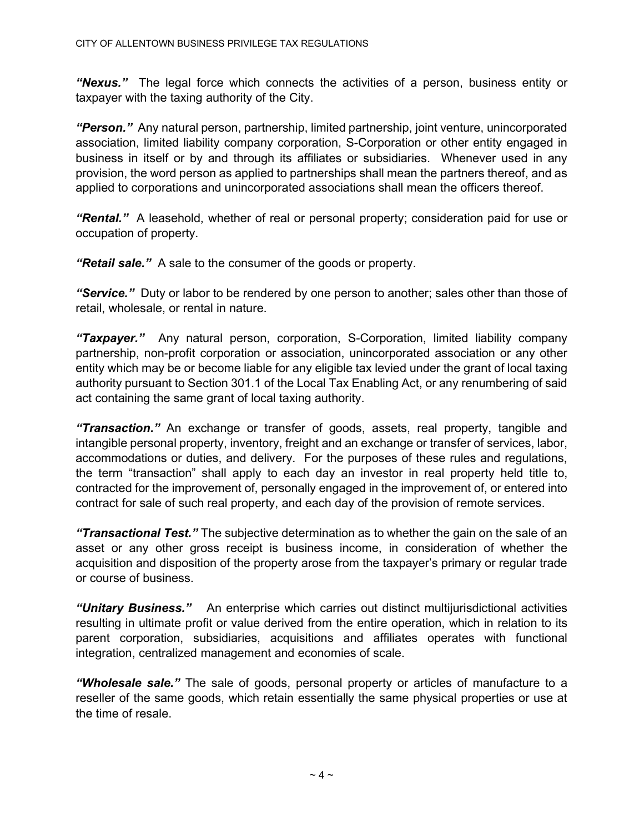"Nexus." The legal force which connects the activities of a person, business entity or taxpayer with the taxing authority of the City.

"Person." Any natural person, partnership, limited partnership, joint venture, unincorporated association, limited liability company corporation, S-Corporation or other entity engaged in business in itself or by and through its affiliates or subsidiaries. Whenever used in any provision, the word person as applied to partnerships shall mean the partners thereof, and as applied to corporations and unincorporated associations shall mean the officers thereof.

**"Rental."** A leasehold, whether of real or personal property; consideration paid for use or occupation of property.

"Retail sale." A sale to the consumer of the goods or property.

"Service." Duty or labor to be rendered by one person to another; sales other than those of retail, wholesale, or rental in nature.

"Taxpayer." Any natural person, corporation, S-Corporation, limited liability company partnership, non-profit corporation or association, unincorporated association or any other entity which may be or become liable for any eligible tax levied under the grant of local taxing authority pursuant to Section 301.1 of the Local Tax Enabling Act, or any renumbering of said act containing the same grant of local taxing authority.

"Transaction." An exchange or transfer of goods, assets, real property, tangible and intangible personal property, inventory, freight and an exchange or transfer of services, labor, accommodations or duties, and delivery. For the purposes of these rules and regulations, the term "transaction" shall apply to each day an investor in real property held title to, contracted for the improvement of, personally engaged in the improvement of, or entered into contract for sale of such real property, and each day of the provision of remote services.

**"Transactional Test."** The subjective determination as to whether the gain on the sale of an asset or any other gross receipt is business income, in consideration of whether the acquisition and disposition of the property arose from the taxpayer's primary or regular trade or course of business.

"Unitary Business." An enterprise which carries out distinct multijurisdictional activities resulting in ultimate profit or value derived from the entire operation, which in relation to its parent corporation, subsidiaries, acquisitions and affiliates operates with functional integration, centralized management and economies of scale.

"Wholesale sale." The sale of goods, personal property or articles of manufacture to a reseller of the same goods, which retain essentially the same physical properties or use at the time of resale.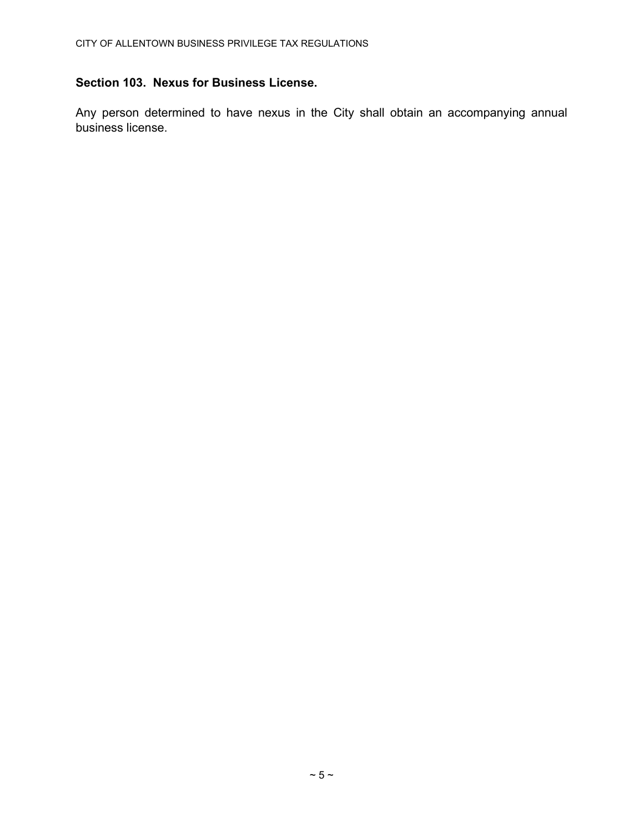# Section 103. Nexus for Business License.

Any person determined to have nexus in the City shall obtain an accompanying annual business license.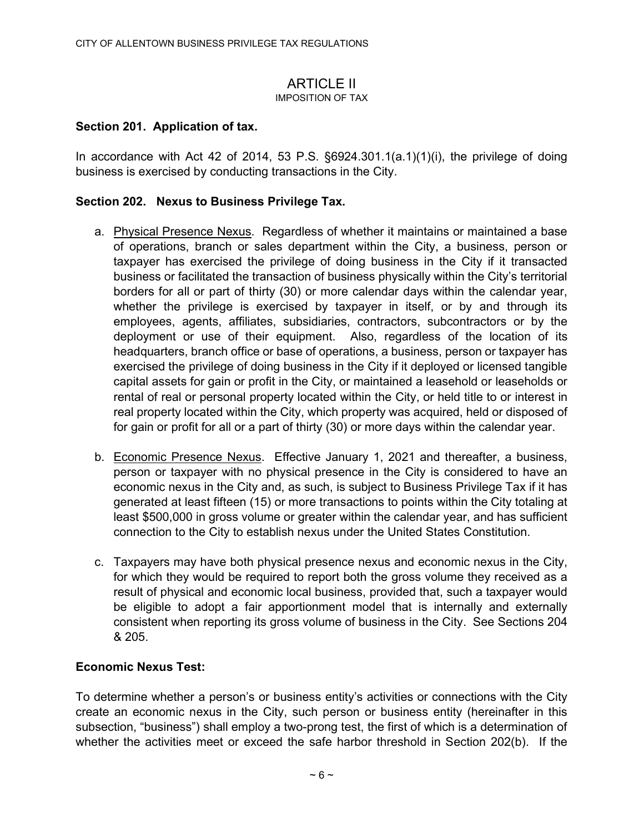#### **ARTICLE II** IMPOSITION OF TAX

# Section 201. Application of tax.

In accordance with Act 42 of 2014, 53 P.S.  $\S6924.301.1(a.1)(1)(i)$ , the privilege of doing business is exercised by conducting transactions in the City.

# Section 202. Nexus to Business Privilege Tax.

- a. Physical Presence Nexus. Regardless of whether it maintains or maintained a base of operations, branch or sales department within the City, a business, person or taxpayer has exercised the privilege of doing business in the City if it transacted business or facilitated the transaction of business physically within the City's territorial borders for all or part of thirty (30) or more calendar days within the calendar year, whether the privilege is exercised by taxpayer in itself, or by and through its employees, agents, affiliates, subsidiaries, contractors, subcontractors or by the deployment or use of their equipment. Also, regardless of the location of its headquarters, branch office or base of operations, a business, person or taxpayer has exercised the privilege of doing business in the City if it deployed or licensed tangible capital assets for gain or profit in the City, or maintained a leasehold or leaseholds or rental of real or personal property located within the City, or held title to or interest in real property located within the City, which property was acquired, held or disposed of for gain or profit for all or a part of thirty (30) or more days within the calendar year.
- b. Economic Presence Nexus. Effective January 1, 2021 and thereafter, a business, person or taxpayer with no physical presence in the City is considered to have an economic nexus in the City and, as such, is subject to Business Privilege Tax if it has generated at least fifteen (15) or more transactions to points within the City totaling at least \$500,000 in gross volume or greater within the calendar year, and has sufficient connection to the City to establish nexus under the United States Constitution.
- c. Taxpayers may have both physical presence nexus and economic nexus in the City, for which they would be required to report both the gross volume they received as a result of physical and economic local business, provided that, such a taxpayer would be eligible to adopt a fair apportionment model that is internally and externally consistent when reporting its gross volume of business in the City. See Sections 204 & 205.

# Economic Nexus Test:

To determine whether a person's or business entity's activities or connections with the City create an economic nexus in the City, such person or business entity (hereinafter in this subsection, "business") shall employ a two-prong test, the first of which is a determination of whether the activities meet or exceed the safe harbor threshold in Section 202(b). If the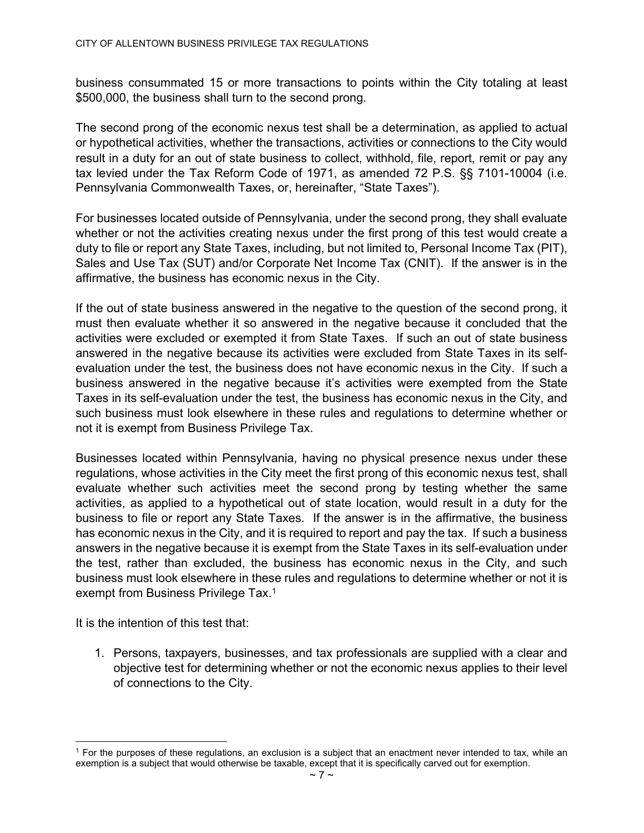business consummated 15 or more transactions to points within the City totaling at least \$500,000, the business shall turn to the second prong.

The second prong of the economic nexus test shall be a determination, as applied to actual or hypothetical activities, whether the transactions, activities or connections to the City would result in a duty for an out of state business to collect, withhold, file, report, remit or pay any tax levied under the Tax Reform Code of 1971, as amended 72 P.S. §§ 7101-10004 (i.e. Pennsylvania Commonwealth Taxes, or, hereinafter, "State Taxes").

For businesses located outside of Pennsylvania, under the second prong, they shall evaluate whether or not the activities creating nexus under the first prong of this test would create a duty to file or report any State Taxes, including, but not limited to, Personal Income Tax (PIT), Sales and Use Tax (SUT) and/or Corporate Net Income Tax (CNIT). If the answer is in the affirmative, the business has economic nexus in the City.

If the out of state business answered in the negative to the question of the second prong, it must then evaluate whether it so answered in the negative because it concluded that the activities were excluded or exempted it from State Taxes. If such an out of state business answered in the negative because its activities were excluded from State Taxes in its selfevaluation under the test, the business does not have economic nexus in the City. If such a business answered in the negative because it's activities were exempted from the State Taxes in its self-evaluation under the test, the business has economic nexus in the City, and such business must look elsewhere in these rules and regulations to determine whether or not it is exempt from Business Privilege Tax.

Businesses located within Pennsylvania, having no physical presence nexus under these regulations, whose activities in the City meet the first prong of this economic nexus test, shall evaluate whether such activities meet the second prong by testing whether the same activities, as applied to a hypothetical out of state location, would result in a duty for the business to file or report any State Taxes. If the answer is in the affirmative, the business has economic nexus in the City, and it is required to report and pay the tax. If such a business answers in the negative because it is exempt from the State Taxes in its self-evaluation under the test, rather than excluded, the business has economic nexus in the City, and such business must look elsewhere in these rules and regulations to determine whether or not it is exempt from Business Privilege Tax.<sup>1</sup>

It is the intention of this test that:

1. Persons, taxpayers, businesses, and tax professionals are supplied with a clear and objective test for determining whether or not the economic nexus applies to their level of connections to the City.

<sup>1</sup> For the purposes of these regulations, an exclusion is a subject that an enactment never intended to tax, while an exemption is a subject that would otherwise be taxable, except that it is specifically carved out for exemption.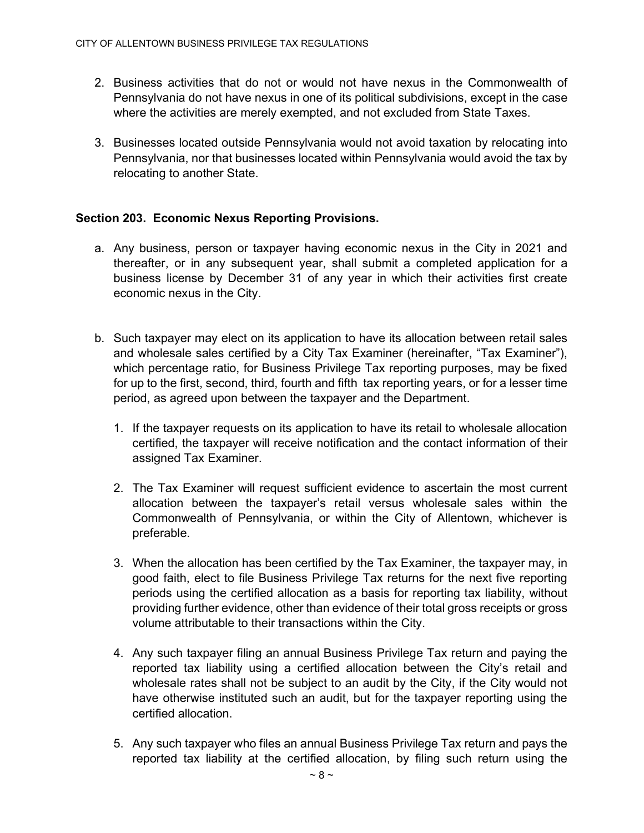- 2. Business activities that do not or would not have nexus in the Commonwealth of Pennsylvania do not have nexus in one of its political subdivisions, except in the case where the activities are merely exempted, and not excluded from State Taxes.
- 3. Businesses located outside Pennsylvania would not avoid taxation by relocating into Pennsylvania, nor that businesses located within Pennsylvania would avoid the tax by relocating to another State.

# Section 203. Economic Nexus Reporting Provisions.

- a. Any business, person or taxpayer having economic nexus in the City in 2021 and thereafter, or in any subsequent year, shall submit a completed application for a business license by December 31 of any year in which their activities first create economic nexus in the City.
- b. Such taxpayer may elect on its application to have its allocation between retail sales and wholesale sales certified by a City Tax Examiner (hereinafter, "Tax Examiner"), which percentage ratio, for Business Privilege Tax reporting purposes, may be fixed for up to the first, second, third, fourth and fifth tax reporting years, or for a lesser time period, as agreed upon between the taxpayer and the Department.
	- 1. If the taxpayer requests on its application to have its retail to wholesale allocation certified, the taxpayer will receive notification and the contact information of their assigned Tax Examiner.
	- 2. The Tax Examiner will request sufficient evidence to ascertain the most current allocation between the taxpayer's retail versus wholesale sales within the Commonwealth of Pennsylvania, or within the City of Allentown, whichever is preferable.
	- 3. When the allocation has been certified by the Tax Examiner, the taxpayer may, in good faith, elect to file Business Privilege Tax returns for the next five reporting periods using the certified allocation as a basis for reporting tax liability, without providing further evidence, other than evidence of their total gross receipts or gross volume attributable to their transactions within the City.
	- 4. Any such taxpayer filing an annual Business Privilege Tax return and paying the reported tax liability using a certified allocation between the City's retail and wholesale rates shall not be subject to an audit by the City, if the City would not have otherwise instituted such an audit, but for the taxpayer reporting using the certified allocation.
	- 5. Any such taxpayer who files an annual Business Privilege Tax return and pays the reported tax liability at the certified allocation, by filing such return using the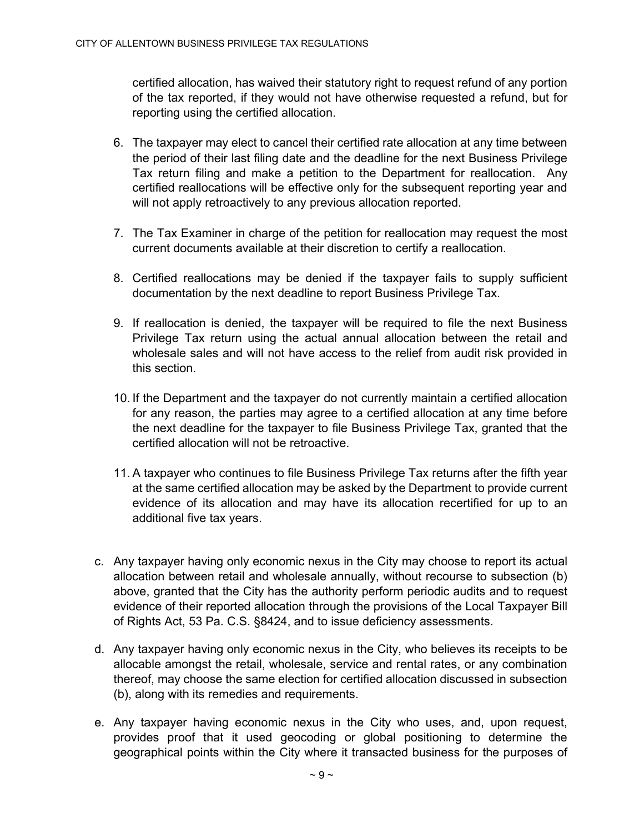certified allocation, has waived their statutory right to request refund of any portion of the tax reported, if they would not have otherwise requested a refund, but for reporting using the certified allocation.

- 6. The taxpayer may elect to cancel their certified rate allocation at any time between the period of their last filing date and the deadline for the next Business Privilege Tax return filing and make a petition to the Department for reallocation. Any certified reallocations will be effective only for the subsequent reporting year and will not apply retroactively to any previous allocation reported.
- 7. The Tax Examiner in charge of the petition for reallocation may request the most current documents available at their discretion to certify a reallocation.
- 8. Certified reallocations may be denied if the taxpayer fails to supply sufficient documentation by the next deadline to report Business Privilege Tax.
- 9. If reallocation is denied, the taxpayer will be required to file the next Business Privilege Tax return using the actual annual allocation between the retail and wholesale sales and will not have access to the relief from audit risk provided in this section.
- 10. If the Department and the taxpayer do not currently maintain a certified allocation for any reason, the parties may agree to a certified allocation at any time before the next deadline for the taxpayer to file Business Privilege Tax, granted that the certified allocation will not be retroactive.
- 11. A taxpayer who continues to file Business Privilege Tax returns after the fifth year at the same certified allocation may be asked by the Department to provide current evidence of its allocation and may have its allocation recertified for up to an additional five tax years.
- c. Any taxpayer having only economic nexus in the City may choose to report its actual allocation between retail and wholesale annually, without recourse to subsection (b) above, granted that the City has the authority perform periodic audits and to request evidence of their reported allocation through the provisions of the Local Taxpayer Bill of Rights Act, 53 Pa. C.S. §8424, and to issue deficiency assessments.
- d. Any taxpayer having only economic nexus in the City, who believes its receipts to be allocable amongst the retail, wholesale, service and rental rates, or any combination thereof, may choose the same election for certified allocation discussed in subsection (b), along with its remedies and requirements.
- e. Any taxpayer having economic nexus in the City who uses, and, upon request, provides proof that it used geocoding or global positioning to determine the geographical points within the City where it transacted business for the purposes of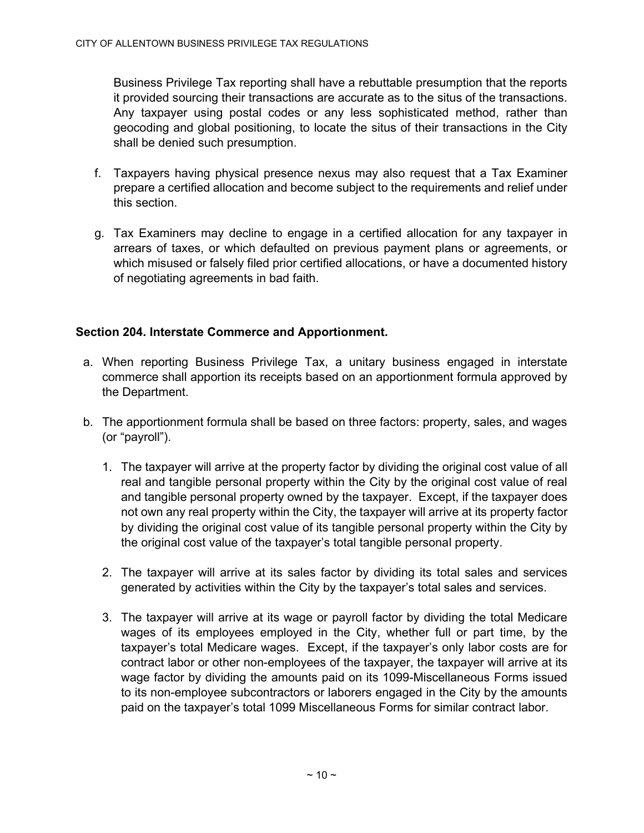Business Privilege Tax reporting shall have a rebuttable presumption that the reports it provided sourcing their transactions are accurate as to the situs of the transactions. Any taxpayer using postal codes or any less sophisticated method, rather than geocoding and global positioning, to locate the situs of their transactions in the City shall be denied such presumption.

- f. Taxpayers having physical presence nexus may also request that a Tax Examiner prepare a certified allocation and become subject to the requirements and relief under this section.
- g. Tax Examiners may decline to engage in a certified allocation for any taxpayer in arrears of taxes, or which defaulted on previous payment plans or agreements, or which misused or falsely filed prior certified allocations, or have a documented history of negotiating agreements in bad faith.

# Section 204. Interstate Commerce and Apportionment.

- a. When reporting Business Privilege Tax, a unitary business engaged in interstate commerce shall apportion its receipts based on an apportionment formula approved by the Department.
- b. The apportionment formula shall be based on three factors: property, sales, and wages (or "payroll").
	- 1. The taxpayer will arrive at the property factor by dividing the original cost value of all real and tangible personal property within the City by the original cost value of real and tangible personal property owned by the taxpayer. Except, if the taxpayer does not own any real property within the City, the taxpayer will arrive at its property factor by dividing the original cost value of its tangible personal property within the City by the original cost value of the taxpayer's total tangible personal property.
	- 2. The taxpayer will arrive at its sales factor by dividing its total sales and services generated by activities within the City by the taxpayer's total sales and services.
	- 3. The taxpayer will arrive at its wage or payroll factor by dividing the total Medicare wages of its employees employed in the City, whether full or part time, by the taxpayer's total Medicare wages. Except, if the taxpayer's only labor costs are for contract labor or other non-employees of the taxpayer, the taxpayer will arrive at its wage factor by dividing the amounts paid on its 1099-Miscellaneous Forms issued to its non-employee subcontractors or laborers engaged in the City by the amounts paid on the taxpayer's total 1099 Miscellaneous Forms for similar contract labor.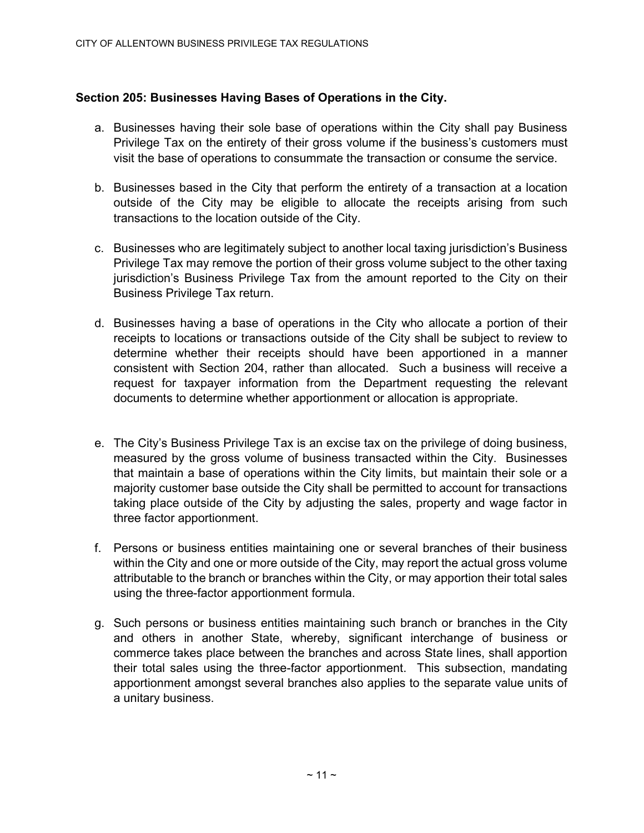# Section 205: Businesses Having Bases of Operations in the City.

- a. Businesses having their sole base of operations within the City shall pay Business Privilege Tax on the entirety of their gross volume if the business's customers must visit the base of operations to consummate the transaction or consume the service.
- b. Businesses based in the City that perform the entirety of a transaction at a location outside of the City may be eligible to allocate the receipts arising from such transactions to the location outside of the City.
- c. Businesses who are legitimately subject to another local taxing jurisdiction's Business Privilege Tax may remove the portion of their gross volume subject to the other taxing jurisdiction's Business Privilege Tax from the amount reported to the City on their Business Privilege Tax return.
- d. Businesses having a base of operations in the City who allocate a portion of their receipts to locations or transactions outside of the City shall be subject to review to determine whether their receipts should have been apportioned in a manner consistent with Section 204, rather than allocated. Such a business will receive a request for taxpayer information from the Department requesting the relevant documents to determine whether apportionment or allocation is appropriate.
- e. The City's Business Privilege Tax is an excise tax on the privilege of doing business, measured by the gross volume of business transacted within the City. Businesses that maintain a base of operations within the City limits, but maintain their sole or a majority customer base outside the City shall be permitted to account for transactions taking place outside of the City by adjusting the sales, property and wage factor in three factor apportionment.
- f. Persons or business entities maintaining one or several branches of their business within the City and one or more outside of the City, may report the actual gross volume attributable to the branch or branches within the City, or may apportion their total sales using the three-factor apportionment formula.
- g. Such persons or business entities maintaining such branch or branches in the City and others in another State, whereby, significant interchange of business or commerce takes place between the branches and across State lines, shall apportion their total sales using the three-factor apportionment. This subsection, mandating apportionment amongst several branches also applies to the separate value units of a unitary business.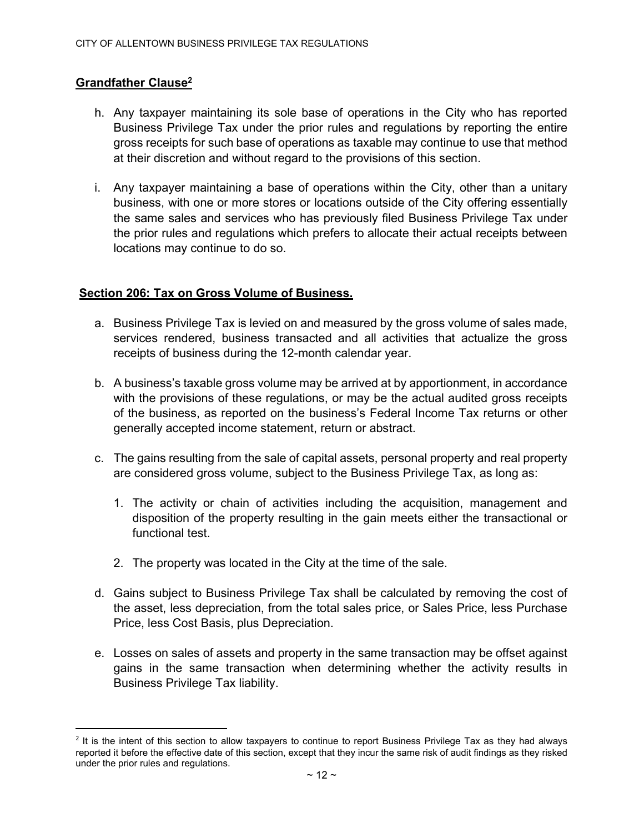# Grandfather Clause<sup>2</sup>

- h. Any taxpayer maintaining its sole base of operations in the City who has reported Business Privilege Tax under the prior rules and regulations by reporting the entire gross receipts for such base of operations as taxable may continue to use that method at their discretion and without regard to the provisions of this section.
- i. Any taxpayer maintaining a base of operations within the City, other than a unitary business, with one or more stores or locations outside of the City offering essentially the same sales and services who has previously filed Business Privilege Tax under the prior rules and regulations which prefers to allocate their actual receipts between locations may continue to do so.

#### Section 206: Tax on Gross Volume of Business.

- a. Business Privilege Tax is levied on and measured by the gross volume of sales made, services rendered, business transacted and all activities that actualize the gross receipts of business during the 12-month calendar year.
- b. A business's taxable gross volume may be arrived at by apportionment, in accordance with the provisions of these regulations, or may be the actual audited gross receipts of the business, as reported on the business's Federal Income Tax returns or other generally accepted income statement, return or abstract.
- c. The gains resulting from the sale of capital assets, personal property and real property are considered gross volume, subject to the Business Privilege Tax, as long as:
	- 1. The activity or chain of activities including the acquisition, management and disposition of the property resulting in the gain meets either the transactional or functional test.
	- 2. The property was located in the City at the time of the sale.
- d. Gains subject to Business Privilege Tax shall be calculated by removing the cost of the asset, less depreciation, from the total sales price, or Sales Price, less Purchase Price, less Cost Basis, plus Depreciation.
- e. Losses on sales of assets and property in the same transaction may be offset against gains in the same transaction when determining whether the activity results in Business Privilege Tax liability.

<sup>&</sup>lt;sup>2</sup> It is the intent of this section to allow taxpayers to continue to report Business Privilege Tax as they had always reported it before the effective date of this section, except that they incur the same risk of audit findings as they risked under the prior rules and regulations.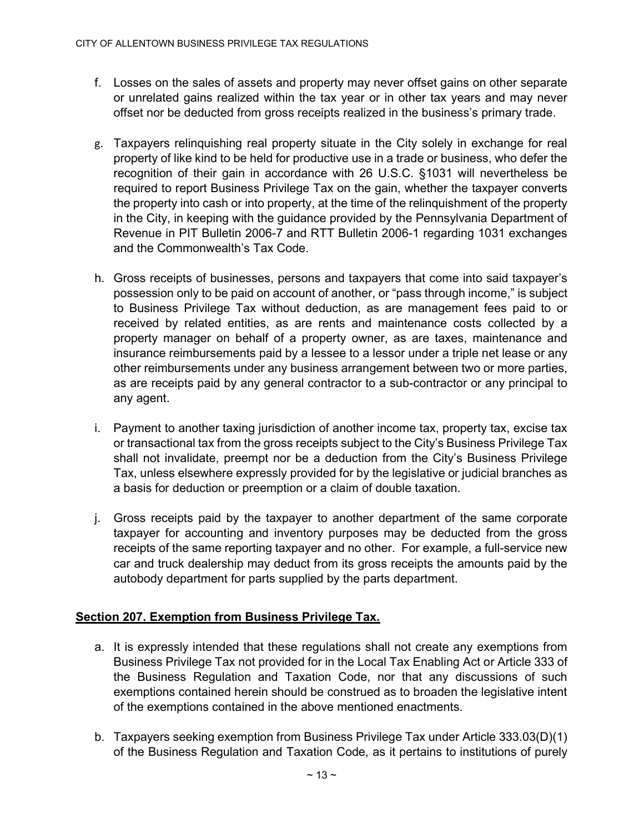- f. Losses on the sales of assets and property may never offset gains on other separate or unrelated gains realized within the tax year or in other tax years and may never offset nor be deducted from gross receipts realized in the business's primary trade.
- g. Taxpayers relinquishing real property situate in the City solely in exchange for real property of like kind to be held for productive use in a trade or business, who defer the recognition of their gain in accordance with 26 U.S.C. §1031 will nevertheless be required to report Business Privilege Tax on the gain, whether the taxpayer converts the property into cash or into property, at the time of the relinquishment of the property in the City, in keeping with the guidance provided by the Pennsylvania Department of Revenue in PIT Bulletin 2006-7 and RTT Bulletin 2006-1 regarding 1031 exchanges and the Commonwealth's Tax Code.
- h. Gross receipts of businesses, persons and taxpayers that come into said taxpayer's possession only to be paid on account of another, or "pass through income," is subject to Business Privilege Tax without deduction, as are management fees paid to or received by related entities, as are rents and maintenance costs collected by a property manager on behalf of a property owner, as are taxes, maintenance and insurance reimbursements paid by a lessee to a lessor under a triple net lease or any other reimbursements under any business arrangement between two or more parties, as are receipts paid by any general contractor to a sub-contractor or any principal to any agent.
- i. Payment to another taxing jurisdiction of another income tax, property tax, excise tax or transactional tax from the gross receipts subject to the City's Business Privilege Tax shall not invalidate, preempt nor be a deduction from the City's Business Privilege Tax, unless elsewhere expressly provided for by the legislative or judicial branches as a basis for deduction or preemption or a claim of double taxation.
- j. Gross receipts paid by the taxpayer to another department of the same corporate taxpayer for accounting and inventory purposes may be deducted from the gross receipts of the same reporting taxpayer and no other. For example, a full-service new car and truck dealership may deduct from its gross receipts the amounts paid by the autobody department for parts supplied by the parts department.

# Section 207. Exemption from Business Privilege Tax.

- a. It is expressly intended that these regulations shall not create any exemptions from Business Privilege Tax not provided for in the Local Tax Enabling Act or Article 333 of the Business Regulation and Taxation Code, nor that any discussions of such exemptions contained herein should be construed as to broaden the legislative intent of the exemptions contained in the above mentioned enactments.
- b. Taxpayers seeking exemption from Business Privilege Tax under Article 333.03(D)(1) of the Business Regulation and Taxation Code, as it pertains to institutions of purely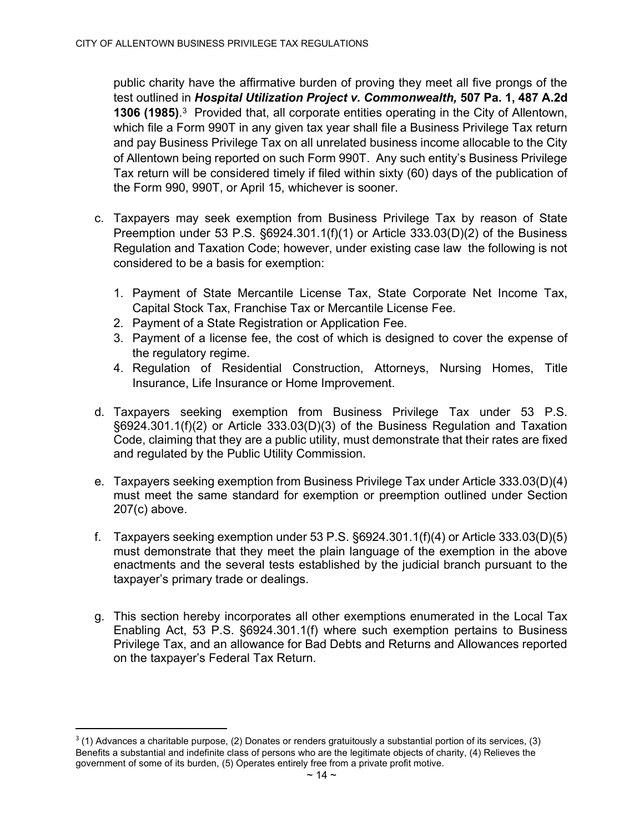public charity have the affirmative burden of proving they meet all five prongs of the test outlined in Hospital Utilization Project v. Commonwealth, 507 Pa. 1, 487 A.2d 1306 (1985).<sup>3</sup> Provided that, all corporate entities operating in the City of Allentown, which file a Form 990T in any given tax year shall file a Business Privilege Tax return and pay Business Privilege Tax on all unrelated business income allocable to the City of Allentown being reported on such Form 990T. Any such entity's Business Privilege Tax return will be considered timely if filed within sixty (60) days of the publication of the Form 990, 990T, or April 15, whichever is sooner.

- c. Taxpayers may seek exemption from Business Privilege Tax by reason of State Preemption under 53 P.S. §6924.301.1(f)(1) or Article 333.03(D)(2) of the Business Regulation and Taxation Code; however, under existing case law the following is not considered to be a basis for exemption:
	- 1. Payment of State Mercantile License Tax, State Corporate Net Income Tax, Capital Stock Tax, Franchise Tax or Mercantile License Fee.
	- 2. Payment of a State Registration or Application Fee.
	- 3. Payment of a license fee, the cost of which is designed to cover the expense of the regulatory regime.
	- 4. Regulation of Residential Construction, Attorneys, Nursing Homes, Title Insurance, Life Insurance or Home Improvement.
- d. Taxpayers seeking exemption from Business Privilege Tax under 53 P.S. §6924.301.1(f)(2) or Article 333.03(D)(3) of the Business Regulation and Taxation Code, claiming that they are a public utility, must demonstrate that their rates are fixed and regulated by the Public Utility Commission.
- e. Taxpayers seeking exemption from Business Privilege Tax under Article 333.03(D)(4) must meet the same standard for exemption or preemption outlined under Section 207(c) above.
- f. Taxpayers seeking exemption under 53 P.S.  $\S 6924.301.1(f)(4)$  or Article 333.03(D)(5) must demonstrate that they meet the plain language of the exemption in the above enactments and the several tests established by the judicial branch pursuant to the taxpayer's primary trade or dealings.
- g. This section hereby incorporates all other exemptions enumerated in the Local Tax Enabling Act, 53 P.S. §6924.301.1(f) where such exemption pertains to Business Privilege Tax, and an allowance for Bad Debts and Returns and Allowances reported on the taxpayer's Federal Tax Return.

<sup>3</sup> (1) Advances a charitable purpose, (2) Donates or renders gratuitously a substantial portion of its services, (3) Benefits a substantial and indefinite class of persons who are the legitimate objects of charity, (4) Relieves the government of some of its burden, (5) Operates entirely free from a private profit motive.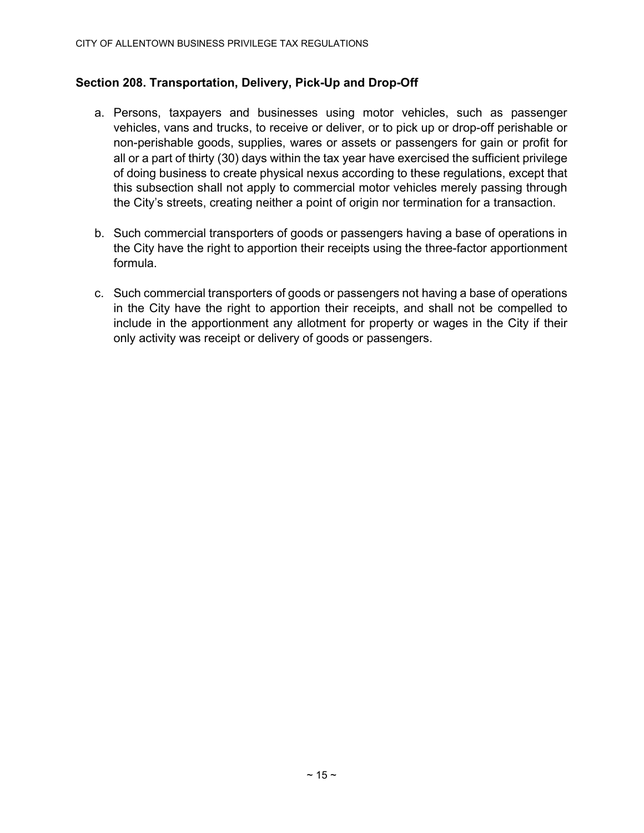# Section 208. Transportation, Delivery, Pick-Up and Drop-Off

- a. Persons, taxpayers and businesses using motor vehicles, such as passenger vehicles, vans and trucks, to receive or deliver, or to pick up or drop-off perishable or non-perishable goods, supplies, wares or assets or passengers for gain or profit for all or a part of thirty (30) days within the tax year have exercised the sufficient privilege of doing business to create physical nexus according to these regulations, except that this subsection shall not apply to commercial motor vehicles merely passing through the City's streets, creating neither a point of origin nor termination for a transaction.
- b. Such commercial transporters of goods or passengers having a base of operations in the City have the right to apportion their receipts using the three-factor apportionment formula.
- c. Such commercial transporters of goods or passengers not having a base of operations in the City have the right to apportion their receipts, and shall not be compelled to include in the apportionment any allotment for property or wages in the City if their only activity was receipt or delivery of goods or passengers.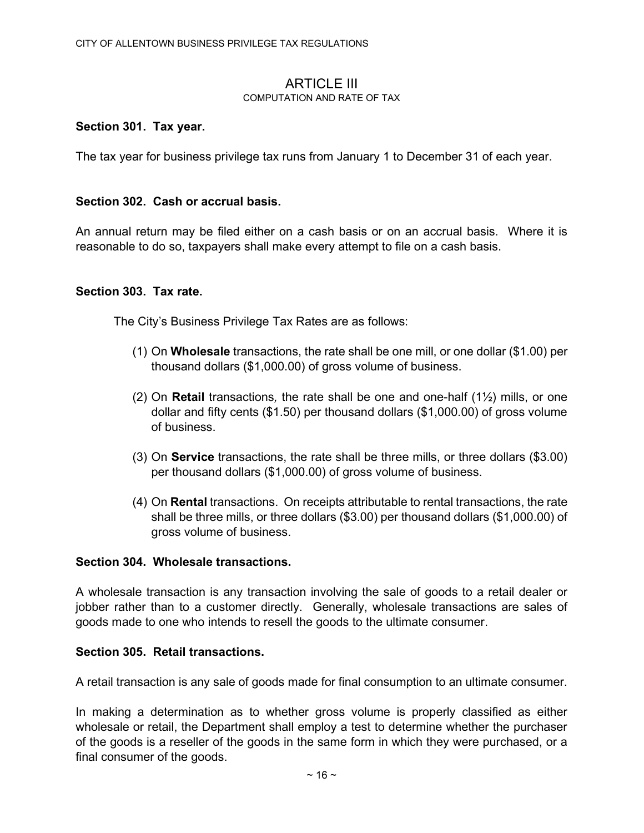#### **ARTICLE III** COMPUTATION AND RATE OF TAX

#### Section 301. Tax year.

The tax year for business privilege tax runs from January 1 to December 31 of each year.

#### Section 302. Cash or accrual basis.

An annual return may be filed either on a cash basis or on an accrual basis. Where it is reasonable to do so, taxpayers shall make every attempt to file on a cash basis.

#### Section 303. Tax rate.

The City's Business Privilege Tax Rates are as follows:

- (1) On Wholesale transactions, the rate shall be one mill, or one dollar (\$1.00) per thousand dollars (\$1,000.00) of gross volume of business.
- (2) On **Retail** transactions, the rate shall be one and one-half  $(1/2)$  mills, or one dollar and fifty cents (\$1.50) per thousand dollars (\$1,000.00) of gross volume of business.
- (3) On Service transactions, the rate shall be three mills, or three dollars (\$3.00) per thousand dollars (\$1,000.00) of gross volume of business.
- (4) On Rental transactions. On receipts attributable to rental transactions, the rate shall be three mills, or three dollars (\$3.00) per thousand dollars (\$1,000.00) of gross volume of business.

#### Section 304. Wholesale transactions.

A wholesale transaction is any transaction involving the sale of goods to a retail dealer or jobber rather than to a customer directly. Generally, wholesale transactions are sales of goods made to one who intends to resell the goods to the ultimate consumer.

#### Section 305. Retail transactions.

A retail transaction is any sale of goods made for final consumption to an ultimate consumer.

In making a determination as to whether gross volume is properly classified as either wholesale or retail, the Department shall employ a test to determine whether the purchaser of the goods is a reseller of the goods in the same form in which they were purchased, or a final consumer of the goods.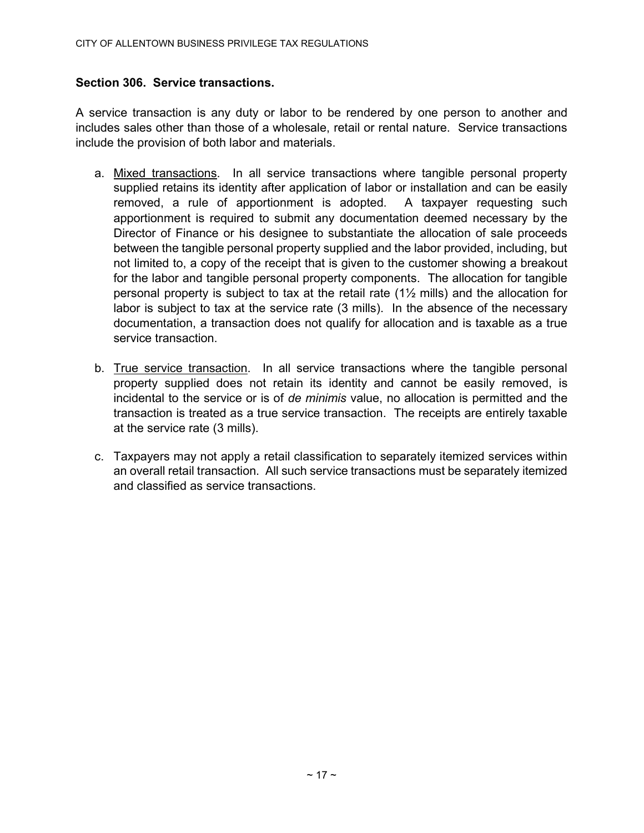# Section 306. Service transactions.

A service transaction is any duty or labor to be rendered by one person to another and includes sales other than those of a wholesale, retail or rental nature. Service transactions include the provision of both labor and materials.

- a. Mixed transactions. In all service transactions where tangible personal property supplied retains its identity after application of labor or installation and can be easily removed, a rule of apportionment is adopted. A taxpayer requesting such apportionment is required to submit any documentation deemed necessary by the Director of Finance or his designee to substantiate the allocation of sale proceeds between the tangible personal property supplied and the labor provided, including, but not limited to, a copy of the receipt that is given to the customer showing a breakout for the labor and tangible personal property components. The allocation for tangible personal property is subject to tax at the retail rate  $(1\frac{1}{2})$  mills) and the allocation for labor is subject to tax at the service rate (3 mills). In the absence of the necessary documentation, a transaction does not qualify for allocation and is taxable as a true service transaction.
- b. True service transaction. In all service transactions where the tangible personal property supplied does not retain its identity and cannot be easily removed, is incidental to the service or is of de minimis value, no allocation is permitted and the transaction is treated as a true service transaction. The receipts are entirely taxable at the service rate (3 mills).
- c. Taxpayers may not apply a retail classification to separately itemized services within an overall retail transaction. All such service transactions must be separately itemized and classified as service transactions.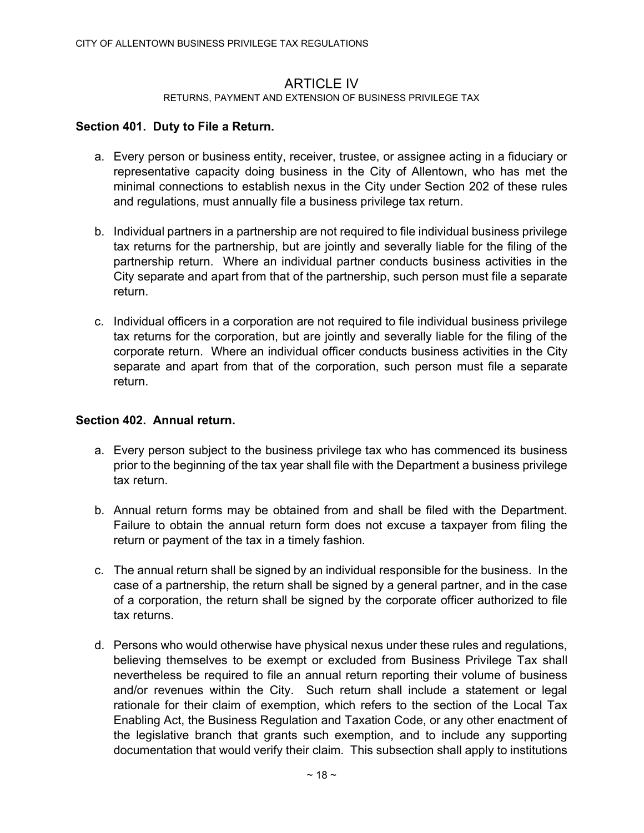# **ARTICLE IV**

#### RETURNS, PAYMENT AND EXTENSION OF BUSINESS PRIVILEGE TAX

# Section 401. Duty to File a Return.

- a. Every person or business entity, receiver, trustee, or assignee acting in a fiduciary or representative capacity doing business in the City of Allentown, who has met the minimal connections to establish nexus in the City under Section 202 of these rules and regulations, must annually file a business privilege tax return.
- b. Individual partners in a partnership are not required to file individual business privilege tax returns for the partnership, but are jointly and severally liable for the filing of the partnership return. Where an individual partner conducts business activities in the City separate and apart from that of the partnership, such person must file a separate return.
- c. Individual officers in a corporation are not required to file individual business privilege tax returns for the corporation, but are jointly and severally liable for the filing of the corporate return. Where an individual officer conducts business activities in the City separate and apart from that of the corporation, such person must file a separate return.

#### Section 402. Annual return.

- a. Every person subject to the business privilege tax who has commenced its business prior to the beginning of the tax year shall file with the Department a business privilege tax return.
- b. Annual return forms may be obtained from and shall be filed with the Department. Failure to obtain the annual return form does not excuse a taxpayer from filing the return or payment of the tax in a timely fashion.
- c. The annual return shall be signed by an individual responsible for the business. In the case of a partnership, the return shall be signed by a general partner, and in the case of a corporation, the return shall be signed by the corporate officer authorized to file tax returns.
- d. Persons who would otherwise have physical nexus under these rules and regulations, believing themselves to be exempt or excluded from Business Privilege Tax shall nevertheless be required to file an annual return reporting their volume of business and/or revenues within the City. Such return shall include a statement or legal rationale for their claim of exemption, which refers to the section of the Local Tax Enabling Act, the Business Regulation and Taxation Code, or any other enactment of the legislative branch that grants such exemption, and to include any supporting documentation that would verify their claim. This subsection shall apply to institutions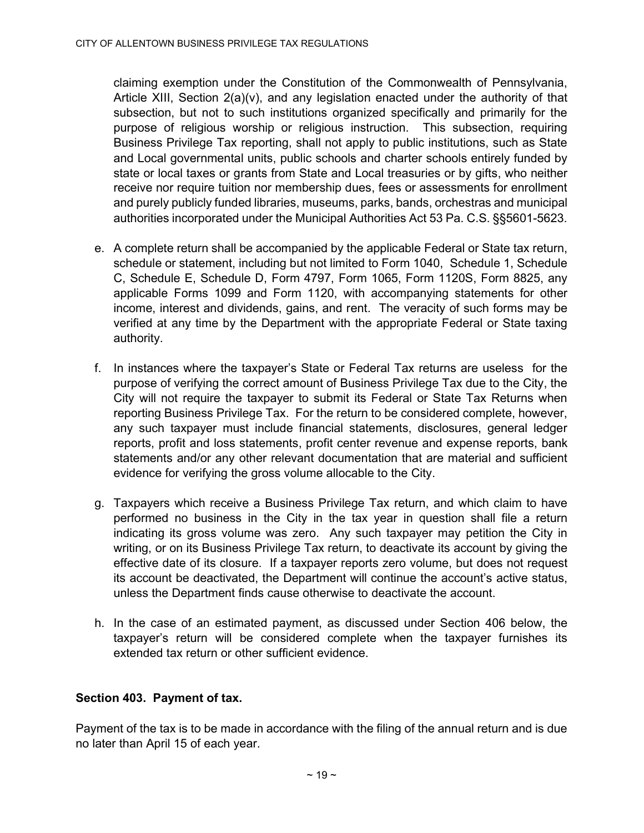claiming exemption under the Constitution of the Commonwealth of Pennsylvania, Article XIII, Section 2(a)(v), and any legislation enacted under the authority of that subsection, but not to such institutions organized specifically and primarily for the purpose of religious worship or religious instruction. This subsection, requiring Business Privilege Tax reporting, shall not apply to public institutions, such as State and Local governmental units, public schools and charter schools entirely funded by state or local taxes or grants from State and Local treasuries or by gifts, who neither receive nor require tuition nor membership dues, fees or assessments for enrollment and purely publicly funded libraries, museums, parks, bands, orchestras and municipal authorities incorporated under the Municipal Authorities Act 53 Pa. C.S. §§5601-5623.

- e. A complete return shall be accompanied by the applicable Federal or State tax return, schedule or statement, including but not limited to Form 1040, Schedule 1, Schedule C, Schedule E, Schedule D, Form 4797, Form 1065, Form 1120S, Form 8825, any applicable Forms 1099 and Form 1120, with accompanying statements for other income, interest and dividends, gains, and rent. The veracity of such forms may be verified at any time by the Department with the appropriate Federal or State taxing authority.
- f. In instances where the taxpayer's State or Federal Tax returns are useless for the purpose of verifying the correct amount of Business Privilege Tax due to the City, the City will not require the taxpayer to submit its Federal or State Tax Returns when reporting Business Privilege Tax. For the return to be considered complete, however, any such taxpayer must include financial statements, disclosures, general ledger reports, profit and loss statements, profit center revenue and expense reports, bank statements and/or any other relevant documentation that are material and sufficient evidence for verifying the gross volume allocable to the City.
- g. Taxpayers which receive a Business Privilege Tax return, and which claim to have performed no business in the City in the tax year in question shall file a return indicating its gross volume was zero. Any such taxpayer may petition the City in writing, or on its Business Privilege Tax return, to deactivate its account by giving the effective date of its closure. If a taxpayer reports zero volume, but does not request its account be deactivated, the Department will continue the account's active status, unless the Department finds cause otherwise to deactivate the account.
- h. In the case of an estimated payment, as discussed under Section 406 below, the taxpayer's return will be considered complete when the taxpayer furnishes its extended tax return or other sufficient evidence.

# Section 403. Payment of tax.

Payment of the tax is to be made in accordance with the filing of the annual return and is due no later than April 15 of each year.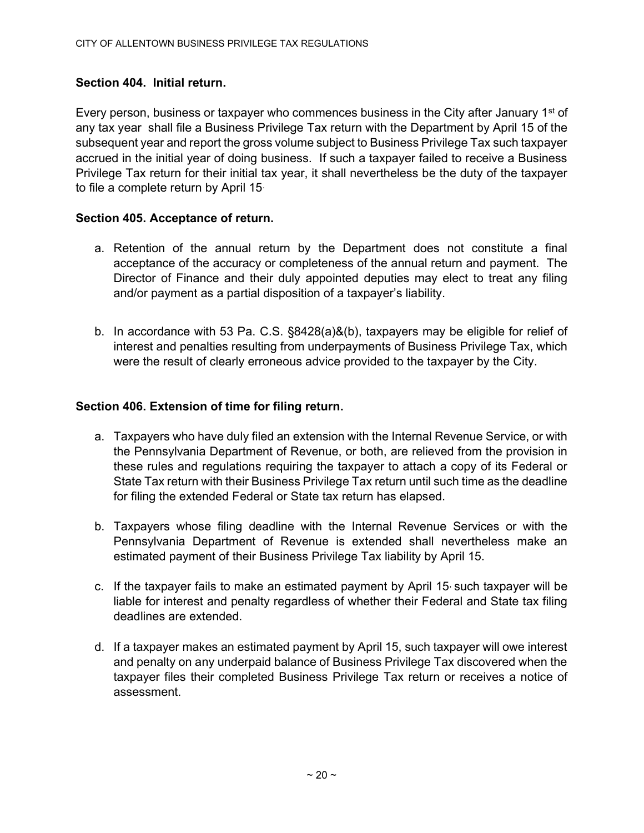# Section 404. Initial return.

Every person, business or taxpayer who commences business in the City after January 1st of any tax year shall file a Business Privilege Tax return with the Department by April 15 of the subsequent year and report the gross volume subject to Business Privilege Tax such taxpayer accrued in the initial year of doing business. If such a taxpayer failed to receive a Business Privilege Tax return for their initial tax year, it shall nevertheless be the duty of the taxpayer to file a complete return by April 15.

# Section 405. Acceptance of return.

- a. Retention of the annual return by the Department does not constitute a final acceptance of the accuracy or completeness of the annual return and payment. The Director of Finance and their duly appointed deputies may elect to treat any filing and/or payment as a partial disposition of a taxpayer's liability.
- b. In accordance with 53 Pa. C.S. §8428(a)&(b), taxpayers may be eligible for relief of interest and penalties resulting from underpayments of Business Privilege Tax, which were the result of clearly erroneous advice provided to the taxpayer by the City.

# Section 406. Extension of time for filing return.

- a. Taxpayers who have duly filed an extension with the Internal Revenue Service, or with the Pennsylvania Department of Revenue, or both, are relieved from the provision in these rules and regulations requiring the taxpayer to attach a copy of its Federal or State Tax return with their Business Privilege Tax return until such time as the deadline for filing the extended Federal or State tax return has elapsed.
- b. Taxpayers whose filing deadline with the Internal Revenue Services or with the Pennsylvania Department of Revenue is extended shall nevertheless make an estimated payment of their Business Privilege Tax liability by April 15.
- c. If the taxpayer fails to make an estimated payment by April 15 such taxpayer will be liable for interest and penalty regardless of whether their Federal and State tax filing deadlines are extended.
- d. If a taxpayer makes an estimated payment by April 15, such taxpayer will owe interest and penalty on any underpaid balance of Business Privilege Tax discovered when the taxpayer files their completed Business Privilege Tax return or receives a notice of assessment.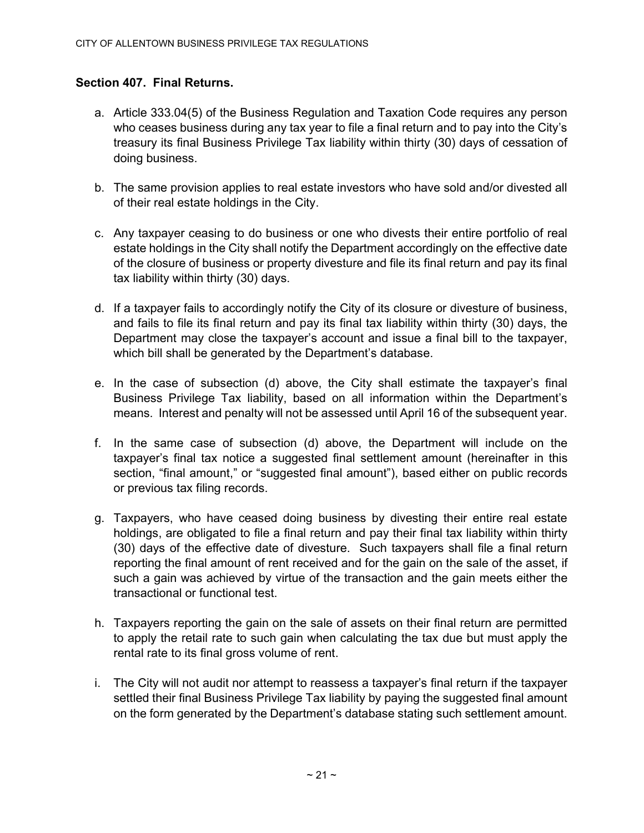# Section 407. Final Returns.

- a. Article 333.04(5) of the Business Regulation and Taxation Code requires any person who ceases business during any tax year to file a final return and to pay into the City's treasury its final Business Privilege Tax liability within thirty (30) days of cessation of doing business.
- b. The same provision applies to real estate investors who have sold and/or divested all of their real estate holdings in the City.
- c. Any taxpayer ceasing to do business or one who divests their entire portfolio of real estate holdings in the City shall notify the Department accordingly on the effective date of the closure of business or property divesture and file its final return and pay its final tax liability within thirty (30) days.
- d. If a taxpayer fails to accordingly notify the City of its closure or divesture of business, and fails to file its final return and pay its final tax liability within thirty (30) days, the Department may close the taxpayer's account and issue a final bill to the taxpayer, which bill shall be generated by the Department's database.
- e. In the case of subsection (d) above, the City shall estimate the taxpayer's final Business Privilege Tax liability, based on all information within the Department's means. Interest and penalty will not be assessed until April 16 of the subsequent year.
- f. In the same case of subsection (d) above, the Department will include on the taxpayer's final tax notice a suggested final settlement amount (hereinafter in this section, "final amount," or "suggested final amount"), based either on public records or previous tax filing records.
- g. Taxpayers, who have ceased doing business by divesting their entire real estate holdings, are obligated to file a final return and pay their final tax liability within thirty (30) days of the effective date of divesture. Such taxpayers shall file a final return reporting the final amount of rent received and for the gain on the sale of the asset, if such a gain was achieved by virtue of the transaction and the gain meets either the transactional or functional test.
- h. Taxpayers reporting the gain on the sale of assets on their final return are permitted to apply the retail rate to such gain when calculating the tax due but must apply the rental rate to its final gross volume of rent.
- i. The City will not audit nor attempt to reassess a taxpayer's final return if the taxpayer settled their final Business Privilege Tax liability by paying the suggested final amount on the form generated by the Department's database stating such settlement amount.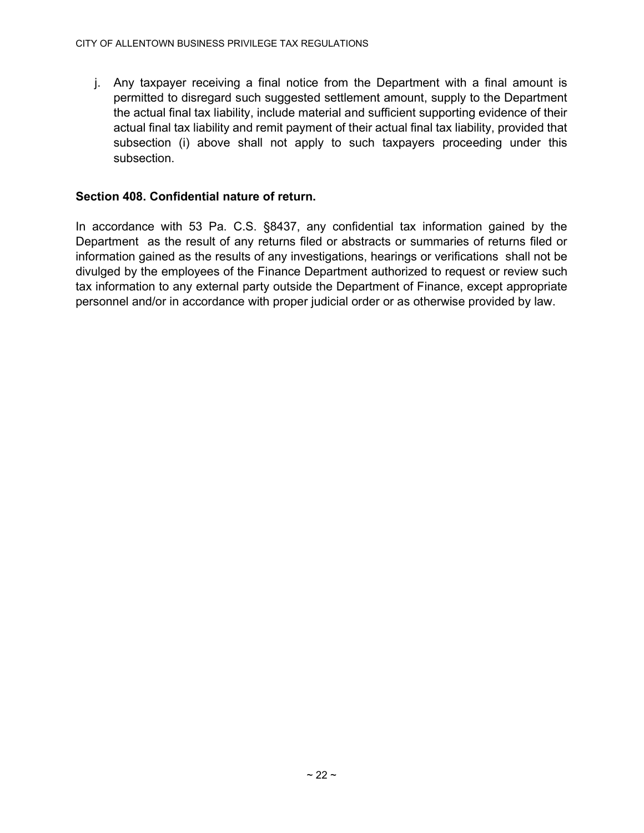j. Any taxpayer receiving a final notice from the Department with a final amount is permitted to disregard such suggested settlement amount, supply to the Department the actual final tax liability, include material and sufficient supporting evidence of their actual final tax liability and remit payment of their actual final tax liability, provided that subsection (i) above shall not apply to such taxpayers proceeding under this subsection.

# Section 408. Confidential nature of return.

In accordance with 53 Pa. C.S. §8437, any confidential tax information gained by the Department as the result of any returns filed or abstracts or summaries of returns filed or information gained as the results of any investigations, hearings or verifications shall not be divulged by the employees of the Finance Department authorized to request or review such tax information to any external party outside the Department of Finance, except appropriate personnel and/or in accordance with proper judicial order or as otherwise provided by law.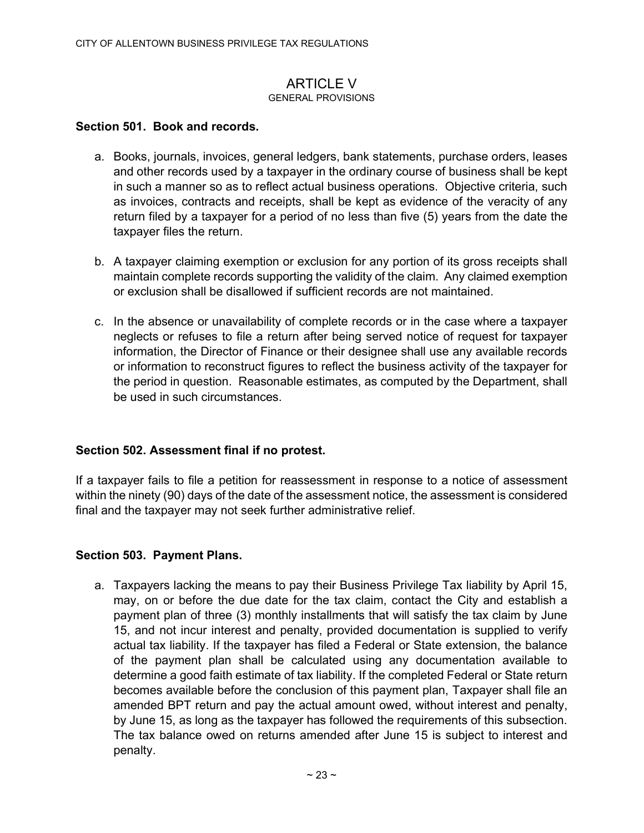#### **ARTICLE V** GENERAL PROVISIONS

#### Section 501. Book and records.

- a. Books, journals, invoices, general ledgers, bank statements, purchase orders, leases and other records used by a taxpayer in the ordinary course of business shall be kept in such a manner so as to reflect actual business operations. Objective criteria, such as invoices, contracts and receipts, shall be kept as evidence of the veracity of any return filed by a taxpayer for a period of no less than five (5) years from the date the taxpayer files the return.
- b. A taxpayer claiming exemption or exclusion for any portion of its gross receipts shall maintain complete records supporting the validity of the claim. Any claimed exemption or exclusion shall be disallowed if sufficient records are not maintained.
- c. In the absence or unavailability of complete records or in the case where a taxpayer neglects or refuses to file a return after being served notice of request for taxpayer information, the Director of Finance or their designee shall use any available records or information to reconstruct figures to reflect the business activity of the taxpayer for the period in question. Reasonable estimates, as computed by the Department, shall be used in such circumstances.

# Section 502. Assessment final if no protest.

If a taxpayer fails to file a petition for reassessment in response to a notice of assessment within the ninety (90) days of the date of the assessment notice, the assessment is considered final and the taxpayer may not seek further administrative relief.

#### Section 503. Payment Plans.

a. Taxpayers lacking the means to pay their Business Privilege Tax liability by April 15, may, on or before the due date for the tax claim, contact the City and establish a payment plan of three (3) monthly installments that will satisfy the tax claim by June 15, and not incur interest and penalty, provided documentation is supplied to verify actual tax liability. If the taxpayer has filed a Federal or State extension, the balance of the payment plan shall be calculated using any documentation available to determine a good faith estimate of tax liability. If the completed Federal or State return becomes available before the conclusion of this payment plan, Taxpayer shall file an amended BPT return and pay the actual amount owed, without interest and penalty, by June 15, as long as the taxpayer has followed the requirements of this subsection. The tax balance owed on returns amended after June 15 is subject to interest and penalty.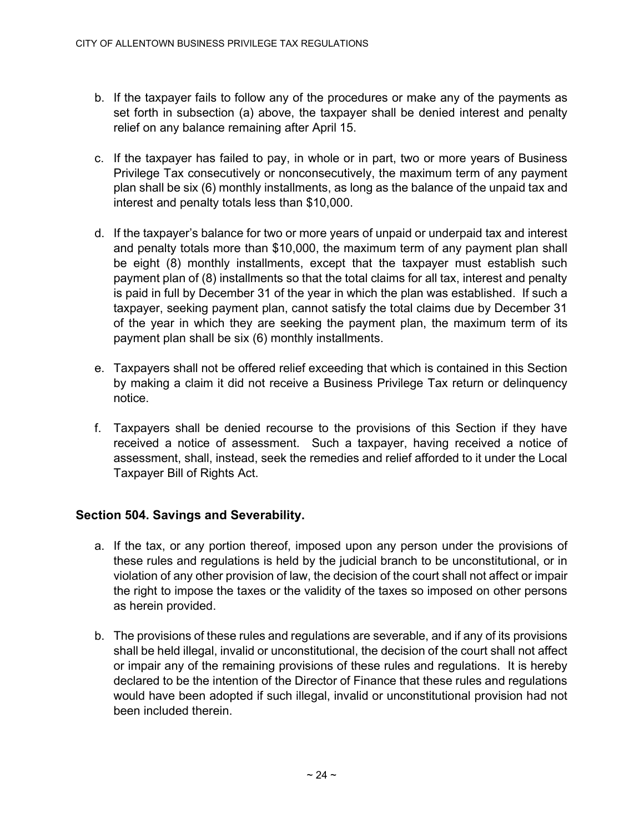- b. If the taxpayer fails to follow any of the procedures or make any of the payments as set forth in subsection (a) above, the taxpayer shall be denied interest and penalty relief on any balance remaining after April 15.
- c. If the taxpayer has failed to pay, in whole or in part, two or more years of Business Privilege Tax consecutively or nonconsecutively, the maximum term of any payment plan shall be six (6) monthly installments, as long as the balance of the unpaid tax and interest and penalty totals less than \$10,000.
- d. If the taxpayer's balance for two or more years of unpaid or underpaid tax and interest and penalty totals more than \$10,000, the maximum term of any payment plan shall be eight (8) monthly installments, except that the taxpayer must establish such payment plan of (8) installments so that the total claims for all tax, interest and penalty is paid in full by December 31 of the year in which the plan was established. If such a taxpayer, seeking payment plan, cannot satisfy the total claims due by December 31 of the year in which they are seeking the payment plan, the maximum term of its payment plan shall be six (6) monthly installments.
- e. Taxpayers shall not be offered relief exceeding that which is contained in this Section by making a claim it did not receive a Business Privilege Tax return or delinquency notice.
- f. Taxpayers shall be denied recourse to the provisions of this Section if they have received a notice of assessment. Such a taxpayer, having received a notice of assessment, shall, instead, seek the remedies and relief afforded to it under the Local Taxpayer Bill of Rights Act.

# Section 504. Savings and Severability.

- a. If the tax, or any portion thereof, imposed upon any person under the provisions of these rules and regulations is held by the judicial branch to be unconstitutional, or in violation of any other provision of law, the decision of the court shall not affect or impair the right to impose the taxes or the validity of the taxes so imposed on other persons as herein provided.
- b. The provisions of these rules and regulations are severable, and if any of its provisions shall be held illegal, invalid or unconstitutional, the decision of the court shall not affect or impair any of the remaining provisions of these rules and regulations. It is hereby declared to be the intention of the Director of Finance that these rules and regulations would have been adopted if such illegal, invalid or unconstitutional provision had not been included therein.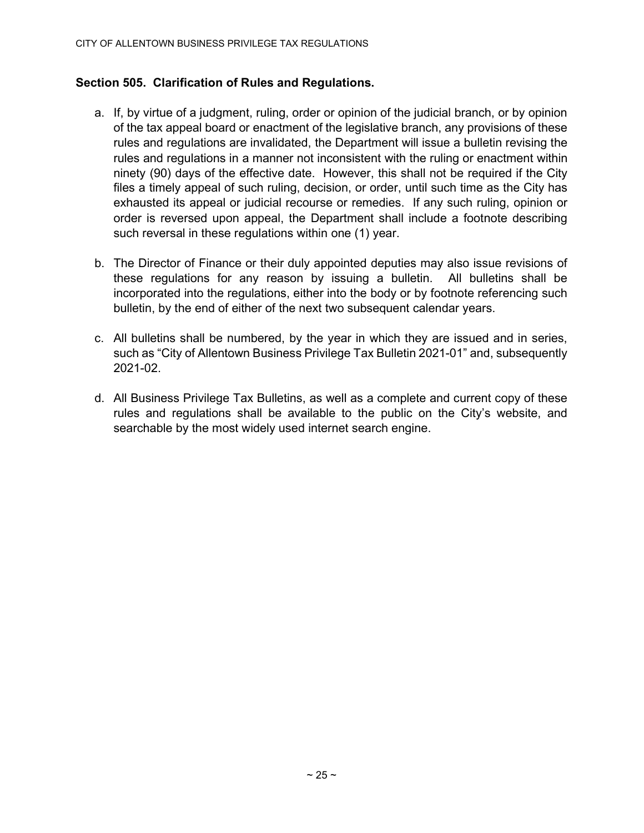#### Section 505. Clarification of Rules and Regulations.

- a. If, by virtue of a judgment, ruling, order or opinion of the judicial branch, or by opinion of the tax appeal board or enactment of the legislative branch, any provisions of these rules and regulations are invalidated, the Department will issue a bulletin revising the rules and regulations in a manner not inconsistent with the ruling or enactment within ninety (90) days of the effective date. However, this shall not be required if the City files a timely appeal of such ruling, decision, or order, until such time as the City has exhausted its appeal or judicial recourse or remedies. If any such ruling, opinion or order is reversed upon appeal, the Department shall include a footnote describing such reversal in these regulations within one (1) year.
- b. The Director of Finance or their duly appointed deputies may also issue revisions of these regulations for any reason by issuing a bulletin. All bulletins shall be incorporated into the regulations, either into the body or by footnote referencing such bulletin, by the end of either of the next two subsequent calendar years.
- c. All bulletins shall be numbered, by the year in which they are issued and in series, such as "City of Allentown Business Privilege Tax Bulletin 2021-01" and, subsequently 2021-02.
- d. All Business Privilege Tax Bulletins, as well as a complete and current copy of these rules and regulations shall be available to the public on the City's website, and searchable by the most widely used internet search engine.